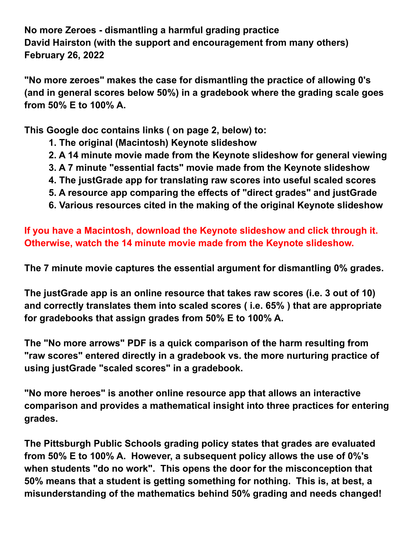**No more Zeroes - dismantling a harmful grading practice David Hairston (with the support and encouragement from many others) February 26, 2022**

**"No more zeroes" makes the case for dismantling the practice of allowing 0's (and in general scores below 50%) in a gradebook where the grading scale goes from 50% E to 100% A.**

**This Google doc contains links ( on page 2, below) to:**

- **1. The original (Macintosh) Keynote slideshow**
- **2. A 14 minute movie made from the Keynote slideshow for general viewing**
- **3. A 7 minute "essential facts" movie made from the Keynote slideshow**
- **4. The justGrade app for translating raw scores into useful scaled scores**
- **5. A resource app comparing the effects of "direct grades" and justGrade**
- **6. Various resources cited in the making of the original Keynote slideshow**

**If you have a Macintosh, download the Keynote slideshow and click through it. Otherwise, watch the 14 minute movie made from the Keynote slideshow.**

**The 7 minute movie captures the essential argument for dismantling 0% grades.**

**The justGrade app is an online resource that takes raw scores (i.e. 3 out of 10) and correctly translates them into scaled scores ( i.e. 65% ) that are appropriate for gradebooks that assign grades from 50% E to 100% A.**

**The "No more arrows" PDF is a quick comparison of the harm resulting from "raw scores" entered directly in a gradebook vs. the more nurturing practice of using justGrade "scaled scores" in a gradebook.**

**"No more heroes" is another online resource app that allows an interactive comparison and provides a mathematical insight into three practices for entering grades.**

**The Pittsburgh Public Schools grading policy states that grades are evaluated from 50% E to 100% A. However, a subsequent policy allows the use of 0%'s when students "do no work". This opens the door for the misconception that 50% means that a student is getting something for nothing. This is, at best, a misunderstanding of the mathematics behind 50% grading and needs changed!**